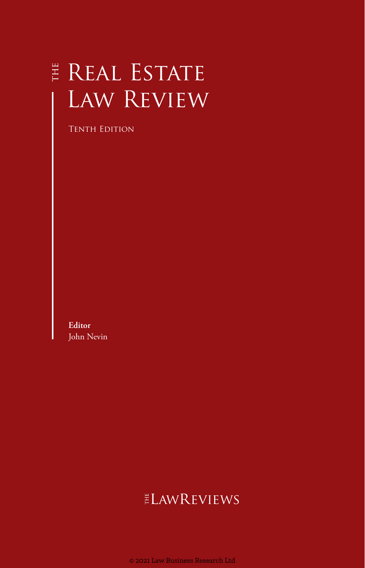# E REAL ESTATE Law Review

Tenth Edition

**Editor** John Nevin

# **ELAWREVIEWS**

© 2021 Law Business Research Ltd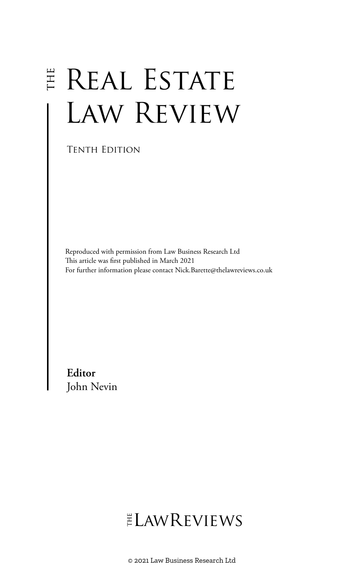# E REAL ESTATE Law Review

Tenth Edition

Reproduced with permission from Law Business Research Ltd This article was first published in March 2021 For further information please contact Nick.Barette@thelawreviews.co.uk

**Editor** John Nevin

# ELAWREVIEWS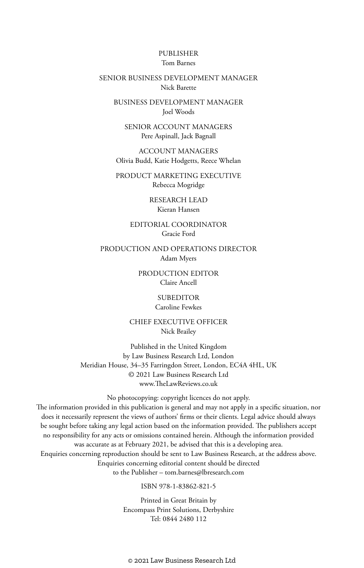#### PUBLISHER Tom Barnes

#### SENIOR BUSINESS DEVELOPMENT MANAGER Nick Barette

BUSINESS DEVELOPMENT MANAGER Joel Woods

SENIOR ACCOUNT MANAGERS Pere Aspinall, Jack Bagnall

ACCOUNT MANAGERS Olivia Budd, Katie Hodgetts, Reece Whelan

PRODUCT MARKETING EXECUTIVE Rebecca Mogridge

> RESEARCH LEAD Kieran Hansen

EDITORIAL COORDINATOR Gracie Ford

PRODUCTION AND OPERATIONS DIRECTOR Adam Myers

> PRODUCTION EDITOR Claire Ancell

> > SUBEDITOR Caroline Fewkes

CHIEF EXECUTIVE OFFICER Nick Brailey

Published in the United Kingdom by Law Business Research Ltd, London Meridian House, 34–35 Farringdon Street, London, EC4A 4HL, UK © 2021 Law Business Research Ltd www.TheLawReviews.co.uk

No photocopying: copyright licences do not apply. The information provided in this publication is general and may not apply in a specific situation, nor does it necessarily represent the views of authors' firms or their clients. Legal advice should always be sought before taking any legal action based on the information provided. The publishers accept no responsibility for any acts or omissions contained herein. Although the information provided was accurate as at February 2021, be advised that this is a developing area. Enquiries concerning reproduction should be sent to Law Business Research, at the address above. Enquiries concerning editorial content should be directed to the Publisher – tom.barnes@lbresearch.com

ISBN 978-1-83862-821-5

Printed in Great Britain by Encompass Print Solutions, Derbyshire Tel: 0844 2480 112

© 2021 Law Business Research Ltd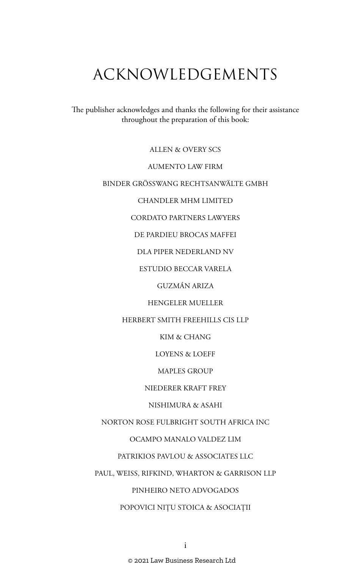# ACKNOWLEDGEMENTS

The publisher acknowledges and thanks the following for their assistance throughout the preparation of this book:

ALLEN & OVERY SCS

AUMENTO LAW FIRM

BINDER GRÖSSWANG RECHTSANWÄLTE GMBH

CHANDLER MHM LIMITED

CORDATO PARTNERS LAWYERS

DE PARDIEU BROCAS MAFFEI

DLA PIPER NEDERLAND NV

ESTUDIO BECCAR VARELA

GUZMÁN ARIZA

HENGELER MUELLER

HERBERT SMITH FREEHILLS CIS LLP

KIM & CHANG

LOYENS & LOEFF

MAPLES GROUP

NIEDERER KRAFT FREY

NISHIMURA & ASAHI

NORTON ROSE FULBRIGHT SOUTH AFRICA INC

OCAMPO MANALO VALDEZ LIM

PATRIKIOS PAVLOU & ASSOCIATES LLC

PAUL, WEISS, RIFKIND, WHARTON & GARRISON LLP

PINHEIRO NETO ADVOGADOS

POPOVICI NIȚU STOICA & ASOCIAȚII

© 2021 Law Business Research Ltd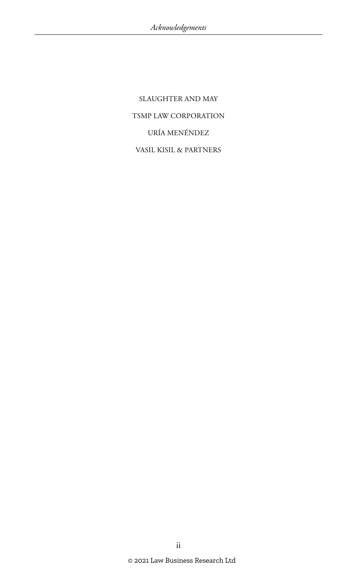SLAUGHTER AND MAY TSMP LAW CORPORATION URÍA MENÉNDEZ VASIL KISIL & PARTNERS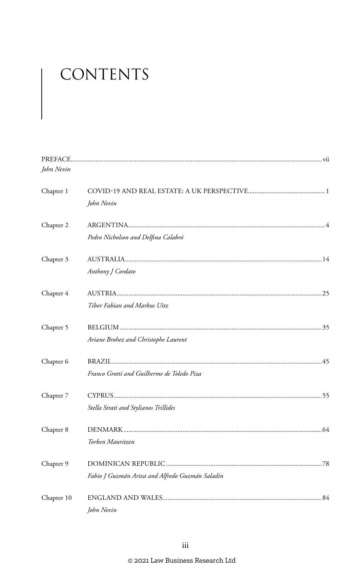# CONTENTS

| John Nevin |                                                 |
|------------|-------------------------------------------------|
| Chapter 1  | John Nevin                                      |
| Chapter 2  | Pedro Nicholson and Delfina Calabró             |
| Chapter 3  | Anthony J Cordato                               |
| Chapter 4  | Tibor Fabian and Markus Uitz                    |
| Chapter 5  | Ariane Brohez and Christophe Laurent            |
| Chapter 6  | Franco Grotti and Guilherme de Toledo Piza      |
| Chapter 7  | Stella Strati and Stylianos Trillides           |
| Chapter 8  | Torben Mauritzen                                |
| Chapter 9  | Fabio J Guzmán Ariza and Alfredo Guzmán Saladín |
| Chapter 10 | John Nevin                                      |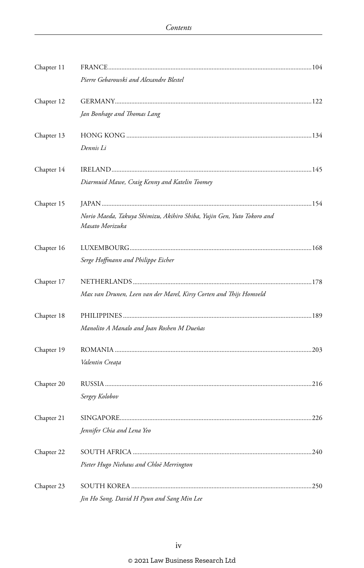| Chapter 11 |                                                                                           |  |
|------------|-------------------------------------------------------------------------------------------|--|
|            | Pierre Gebarowski and Alexandre Blestel                                                   |  |
| Chapter 12 |                                                                                           |  |
|            | Jan Bonhage and Thomas Lang                                                               |  |
| Chapter 13 |                                                                                           |  |
|            | Dennis Li                                                                                 |  |
| Chapter 14 |                                                                                           |  |
|            | Diarmuid Mawe, Craig Kenny and Katelin Toomey                                             |  |
| Chapter 15 |                                                                                           |  |
|            | Norio Maeda, Takuya Shimizu, Akihiro Shiba, Yujin Gen, Yuto Tokoro and<br>Masato Morizuka |  |
| Chapter 16 |                                                                                           |  |
|            | Serge Hoffmann and Philippe Eicher                                                        |  |
| Chapter 17 |                                                                                           |  |
|            | Max van Drunen, Leen van der Marel, Kirsy Corten and Thijs Homveld                        |  |
| Chapter 18 |                                                                                           |  |
|            | Manolito A Manalo and Joan Roshen M Dueñas                                                |  |
| Chapter 19 |                                                                                           |  |
|            | Valentin Creața                                                                           |  |
| Chapter 20 |                                                                                           |  |
|            | Sergey Kolobov                                                                            |  |
| Chapter 21 |                                                                                           |  |
|            | Jennifer Chia and Lena Yeo                                                                |  |
| Chapter 22 |                                                                                           |  |
|            | Pieter Hugo Niehaus and Chloë Merrington                                                  |  |
| Chapter 23 |                                                                                           |  |
|            | Jin Ho Song, David H Pyun and Sang Min Lee                                                |  |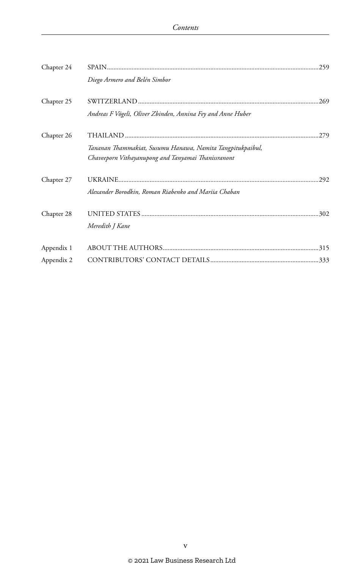| Chapter 24 |                                                             |  |
|------------|-------------------------------------------------------------|--|
|            | Diego Armero and Belén Simbor                               |  |
| Chapter 25 | .269                                                        |  |
|            | Andreas F Vögeli, Oliver Zbinden, Annina Fey and Anne Huber |  |
| Chapter 26 | .279                                                        |  |
|            | Tananan Thammakiat, Susumu Hanawa, Namita Tangpitukpaibul,  |  |
|            | Chaveeporn Vithayanupong and Tanyamai Thanissranont         |  |
|            |                                                             |  |
| Chapter 27 | .292                                                        |  |
|            | Alexander Borodkin, Roman Riabenko and Mariia Chaban        |  |
| Chapter 28 |                                                             |  |
|            | Meredith J Kane                                             |  |
| Appendix 1 |                                                             |  |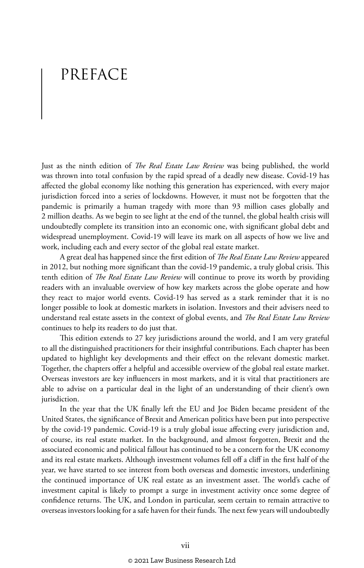# PREFACE

Just as the ninth edition of *The Real Estate Law Review* was being published, the world was thrown into total confusion by the rapid spread of a deadly new disease. Covid-19 has affected the global economy like nothing this generation has experienced, with every major jurisdiction forced into a series of lockdowns. However, it must not be forgotten that the pandemic is primarily a human tragedy with more than 93 million cases globally and 2 million deaths. As we begin to see light at the end of the tunnel, the global health crisis will undoubtedly complete its transition into an economic one, with significant global debt and widespread unemployment. Covid-19 will leave its mark on all aspects of how we live and work, including each and every sector of the global real estate market.

A great deal has happened since the first edition of *The Real Estate Law Review* appeared in 2012, but nothing more significant than the covid-19 pandemic, a truly global crisis. This tenth edition of *The Real Estate Law Review* will continue to prove its worth by providing readers with an invaluable overview of how key markets across the globe operate and how they react to major world events. Covid-19 has served as a stark reminder that it is no longer possible to look at domestic markets in isolation. Investors and their advisers need to understand real estate assets in the context of global events, and *The Real Estate Law Review* continues to help its readers to do just that.

This edition extends to 27 key jurisdictions around the world, and I am very grateful to all the distinguished practitioners for their insightful contributions. Each chapter has been updated to highlight key developments and their effect on the relevant domestic market. Together, the chapters offer a helpful and accessible overview of the global real estate market. Overseas investors are key influencers in most markets, and it is vital that practitioners are able to advise on a particular deal in the light of an understanding of their client's own jurisdiction.

In the year that the UK finally left the EU and Joe Biden became president of the United States, the significance of Brexit and American politics have been put into perspective by the covid-19 pandemic. Covid-19 is a truly global issue affecting every jurisdiction and, of course, its real estate market. In the background, and almost forgotten, Brexit and the associated economic and political fallout has continued to be a concern for the UK economy and its real estate markets. Although investment volumes fell off a cliff in the first half of the year, we have started to see interest from both overseas and domestic investors, underlining the continued importance of UK real estate as an investment asset. The world's cache of investment capital is likely to prompt a surge in investment activity once some degree of confidence returns. The UK, and London in particular, seem certain to remain attractive to overseas investors looking for a safe haven for their funds. The next few years will undoubtedly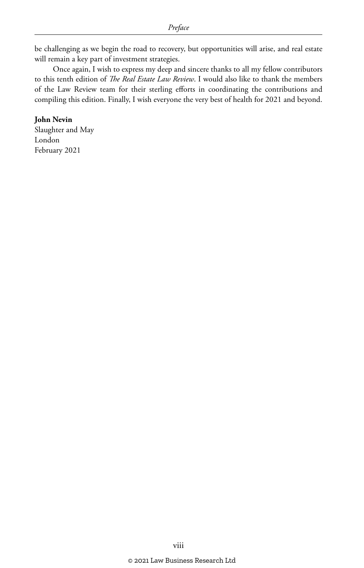be challenging as we begin the road to recovery, but opportunities will arise, and real estate will remain a key part of investment strategies.

Once again, I wish to express my deep and sincere thanks to all my fellow contributors to this tenth edition of *The Real Estate Law Review*. I would also like to thank the members of the Law Review team for their sterling efforts in coordinating the contributions and compiling this edition. Finally, I wish everyone the very best of health for 2021 and beyond.

#### **John Nevin**

Slaughter and May London February 2021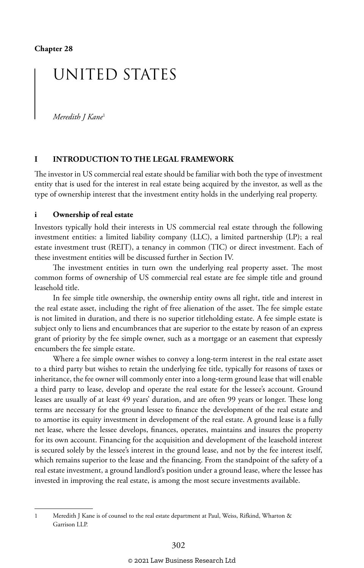## UNITED STATES

*Meredith J Kane*<sup>1</sup>

#### **I INTRODUCTION TO THE LEGAL FRAMEWORK**

The investor in US commercial real estate should be familiar with both the type of investment entity that is used for the interest in real estate being acquired by the investor, as well as the type of ownership interest that the investment entity holds in the underlying real property.

#### **i Ownership of real estate**

Investors typically hold their interests in US commercial real estate through the following investment entities: a limited liability company (LLC), a limited partnership (LP); a real estate investment trust (REIT), a tenancy in common (TIC) or direct investment. Each of these investment entities will be discussed further in Section IV.

The investment entities in turn own the underlying real property asset. The most common forms of ownership of US commercial real estate are fee simple title and ground leasehold title.

In fee simple title ownership, the ownership entity owns all right, title and interest in the real estate asset, including the right of free alienation of the asset. The fee simple estate is not limited in duration, and there is no superior titleholding estate. A fee simple estate is subject only to liens and encumbrances that are superior to the estate by reason of an express grant of priority by the fee simple owner, such as a mortgage or an easement that expressly encumbers the fee simple estate.

Where a fee simple owner wishes to convey a long-term interest in the real estate asset to a third party but wishes to retain the underlying fee title, typically for reasons of taxes or inheritance, the fee owner will commonly enter into a long-term ground lease that will enable a third party to lease, develop and operate the real estate for the lessee's account. Ground leases are usually of at least 49 years' duration, and are often 99 years or longer. These long terms are necessary for the ground lessee to finance the development of the real estate and to amortise its equity investment in development of the real estate. A ground lease is a fully net lease, where the lessee develops, finances, operates, maintains and insures the property for its own account. Financing for the acquisition and development of the leasehold interest is secured solely by the lessee's interest in the ground lease, and not by the fee interest itself, which remains superior to the lease and the financing. From the standpoint of the safety of a real estate investment, a ground landlord's position under a ground lease, where the lessee has invested in improving the real estate, is among the most secure investments available.

<sup>1</sup> Meredith J Kane is of counsel to the real estate department at Paul, Weiss, Rifkind, Wharton & Garrison LLP.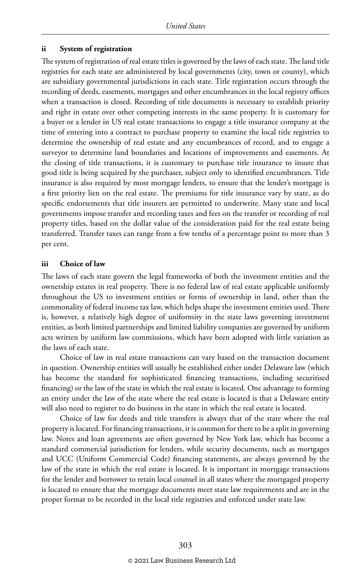#### **ii System of registration**

The system of registration of real estate titles is governed by the laws of each state. The land title registries for each state are administered by local governments (city, town or county), which are subsidiary governmental jurisdictions in each state. Title registration occurs through the recording of deeds, easements, mortgages and other encumbrances in the local registry offices when a transaction is closed. Recording of title documents is necessary to establish priority and right in estate over other competing interests in the same property. It is customary for a buyer or a lender in US real estate transactions to engage a title insurance company at the time of entering into a contract to purchase property to examine the local title registries to determine the ownership of real estate and any encumbrances of record, and to engage a surveyor to determine land boundaries and locations of improvements and easements. At the closing of title transactions, it is customary to purchase title insurance to insure that good title is being acquired by the purchaser, subject only to identified encumbrances. Title insurance is also required by most mortgage lenders, to ensure that the lender's mortgage is a first priority lien on the real estate. The premiums for title insurance vary by state, as do specific endorsements that title insurers are permitted to underwrite. Many state and local governments impose transfer and recording taxes and fees on the transfer or recording of real property titles, based on the dollar value of the consideration paid for the real estate being transferred. Transfer taxes can range from a few tenths of a percentage point to more than 3 per cent.

#### **iii Choice of law**

The laws of each state govern the legal frameworks of both the investment entities and the ownership estates in real property. There is no federal law of real estate applicable uniformly throughout the US to investment entities or forms of ownership in land, other than the commonality of federal income tax law, which helps shape the investment entities used. There is, however, a relatively high degree of uniformity in the state laws governing investment entities, as both limited partnerships and limited liability companies are governed by uniform acts written by uniform law commissions, which have been adopted with little variation as the laws of each state.

Choice of law in real estate transactions can vary based on the transaction document in question. Ownership entities will usually be established either under Delaware law (which has become the standard for sophisticated financing transactions, including securitised financing) or the law of the state in which the real estate is located. One advantage to forming an entity under the law of the state where the real estate is located is that a Delaware entity will also need to register to do business in the state in which the real estate is located.

Choice of law for deeds and title transfers is always that of the state where the real property is located. For financing transactions, it is common for there to be a split in governing law. Notes and loan agreements are often governed by New York law, which has become a standard commercial jurisdiction for lenders, while security documents, such as mortgages and UCC (Uniform Commercial Code) financing statements, are always governed by the law of the state in which the real estate is located. It is important in mortgage transactions for the lender and borrower to retain local counsel in all states where the mortgaged property is located to ensure that the mortgage documents meet state law requirements and are in the proper format to be recorded in the local title registries and enforced under state law.

© 2021 Law Business Research Ltd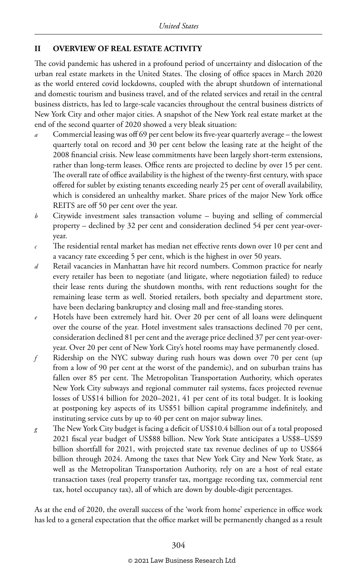#### **II OVERVIEW OF REAL ESTATE ACTIVITY**

The covid pandemic has ushered in a profound period of uncertainty and dislocation of the urban real estate markets in the United States. The closing of office spaces in March 2020 as the world entered covid lockdowns, coupled with the abrupt shutdown of international and domestic tourism and business travel, and of the related services and retail in the central business districts, has led to large-scale vacancies throughout the central business districts of New York City and other major cities. A snapshot of the New York real estate market at the end of the second quarter of 2020 showed a very bleak situation:

- *a* Commercial leasing was off 69 per cent below its five-year quarterly average the lowest quarterly total on record and 30 per cent below the leasing rate at the height of the 2008 financial crisis. New lease commitments have been largely short-term extensions, rather than long-term leases. Office rents are projected to decline by over 15 per cent. The overall rate of office availability is the highest of the twenty-first century, with space offered for sublet by existing tenants exceeding nearly 25 per cent of overall availability, which is considered an unhealthy market. Share prices of the major New York office REITS are off 50 per cent over the year.
- *b* Citywide investment sales transaction volume buying and selling of commercial property – declined by 32 per cent and consideration declined 54 per cent year-overyear.
- *c* The residential rental market has median net effective rents down over 10 per cent and a vacancy rate exceeding 5 per cent, which is the highest in over 50 years.
- *d* Retail vacancies in Manhattan have hit record numbers. Common practice for nearly every retailer has been to negotiate (and litigate, where negotiation failed) to reduce their lease rents during the shutdown months, with rent reductions sought for the remaining lease term as well. Storied retailers, both specialty and department store, have been declaring bankruptcy and closing mall and free-standing stores.
- *e* Hotels have been extremely hard hit. Over 20 per cent of all loans were delinquent over the course of the year. Hotel investment sales transactions declined 70 per cent, consideration declined 81 per cent and the average price declined 37 per cent year-overyear. Over 20 per cent of New York City's hotel rooms may have permanently closed.
- *f* Ridership on the NYC subway during rush hours was down over 70 per cent (up from a low of 90 per cent at the worst of the pandemic), and on suburban trains has fallen over 85 per cent. The Metropolitan Transportation Authority, which operates New York City subways and regional commuter rail systems, faces projected revenue losses of US\$14 billion for 2020–2021, 41 per cent of its total budget. It is looking at postponing key aspects of its US\$51 billion capital programme indefinitely, and instituting service cuts by up to 40 per cent on major subway lines.
- *g* The New York City budget is facing a deficit of US\$10.4 billion out of a total proposed 2021 fiscal year budget of US\$88 billion. New York State anticipates a US\$8–US\$9 billion shortfall for 2021, with projected state tax revenue declines of up to US\$64 billion through 2024. Among the taxes that New York City and New York State, as well as the Metropolitan Transportation Authority, rely on are a host of real estate transaction taxes (real property transfer tax, mortgage recording tax, commercial rent tax, hotel occupancy tax), all of which are down by double-digit percentages.

As at the end of 2020, the overall success of the 'work from home' experience in office work has led to a general expectation that the office market will be permanently changed as a result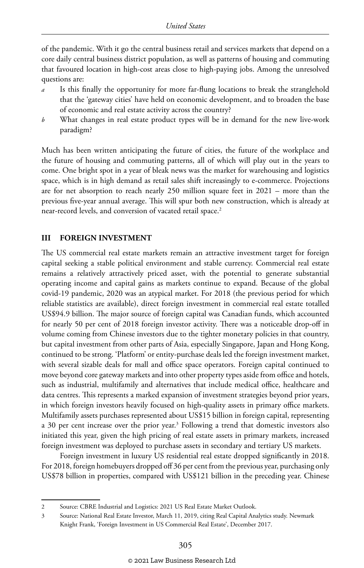of the pandemic. With it go the central business retail and services markets that depend on a core daily central business district population, as well as patterns of housing and commuting that favoured location in high-cost areas close to high-paying jobs. Among the unresolved questions are:

- Is this finally the opportunity for more far-flung locations to break the stranglehold that the 'gateway cities' have held on economic development, and to broaden the base of economic and real estate activity across the country?
- *b* What changes in real estate product types will be in demand for the new live-work paradigm?

Much has been written anticipating the future of cities, the future of the workplace and the future of housing and commuting patterns, all of which will play out in the years to come. One bright spot in a year of bleak news was the market for warehousing and logistics space, which is in high demand as retail sales shift increasingly to e-commerce. Projections are for net absorption to reach nearly 250 million square feet in 2021 – more than the previous five-year annual average. This will spur both new construction, which is already at near-record levels, and conversion of vacated retail space.<sup>2</sup>

#### **III FOREIGN INVESTMENT**

The US commercial real estate markets remain an attractive investment target for foreign capital seeking a stable political environment and stable currency. Commercial real estate remains a relatively attractively priced asset, with the potential to generate substantial operating income and capital gains as markets continue to expand. Because of the global covid-19 pandemic, 2020 was an atypical market. For 2018 (the previous period for which reliable statistics are available), direct foreign investment in commercial real estate totalled US\$94.9 billion. The major source of foreign capital was Canadian funds, which accounted for nearly 50 per cent of 2018 foreign investor activity. There was a noticeable drop-off in volume coming from Chinese investors due to the tighter monetary policies in that country, but capital investment from other parts of Asia, especially Singapore, Japan and Hong Kong, continued to be strong. 'Platform' or entity-purchase deals led the foreign investment market, with several sizable deals for mall and office space operators. Foreign capital continued to move beyond core gateway markets and into other property types aside from office and hotels, such as industrial, multifamily and alternatives that include medical office, healthcare and data centres. This represents a marked expansion of investment strategies beyond prior years, in which foreign investors heavily focused on high-quality assets in primary office markets. Multifamily assets purchases represented about US\$15 billion in foreign capital, representing a 30 per cent increase over the prior year.<sup>3</sup> Following a trend that domestic investors also initiated this year, given the high pricing of real estate assets in primary markets, increased foreign investment was deployed to purchase assets in secondary and tertiary US markets.

Foreign investment in luxury US residential real estate dropped significantly in 2018. For 2018, foreign homebuyers dropped off 36 per cent from the previous year, purchasing only US\$78 billion in properties, compared with US\$121 billion in the preceding year. Chinese

<sup>2</sup> Source: CBRE Industrial and Logistics: 2021 US Real Estate Market Outlook.

<sup>3</sup> Source: National Real Estate Investor, March 11, 2019, citing Real Capital Analytics study. Newmark Knight Frank, 'Foreign Investment in US Commercial Real Estate', December 2017.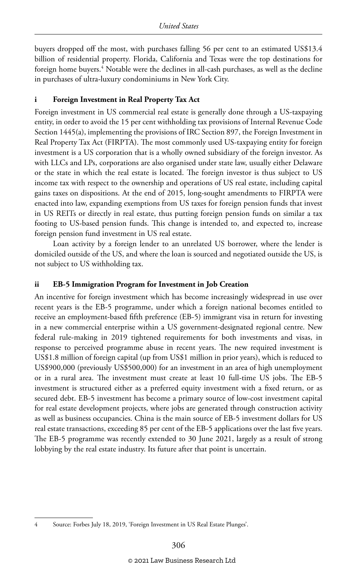buyers dropped off the most, with purchases falling 56 per cent to an estimated US\$13.4 billion of residential property. Florida, California and Texas were the top destinations for foreign home buyers.4 Notable were the declines in all-cash purchases, as well as the decline in purchases of ultra-luxury condominiums in New York City.

#### **i Foreign Investment in Real Property Tax Act**

Foreign investment in US commercial real estate is generally done through a US-taxpaying entity, in order to avoid the 15 per cent withholding tax provisions of Internal Revenue Code Section 1445(a), implementing the provisions of IRC Section 897, the Foreign Investment in Real Property Tax Act (FIRPTA). The most commonly used US-taxpaying entity for foreign investment is a US corporation that is a wholly owned subsidiary of the foreign investor. As with LLCs and LPs, corporations are also organised under state law, usually either Delaware or the state in which the real estate is located. The foreign investor is thus subject to US income tax with respect to the ownership and operations of US real estate, including capital gains taxes on dispositions. At the end of 2015, long-sought amendments to FIRPTA were enacted into law, expanding exemptions from US taxes for foreign pension funds that invest in US REITs or directly in real estate, thus putting foreign pension funds on similar a tax footing to US-based pension funds. This change is intended to, and expected to, increase foreign pension fund investment in US real estate.

Loan activity by a foreign lender to an unrelated US borrower, where the lender is domiciled outside of the US, and where the loan is sourced and negotiated outside the US, is not subject to US withholding tax.

#### **ii EB-5 Immigration Program for Investment in Job Creation**

An incentive for foreign investment which has become increasingly widespread in use over recent years is the EB-5 programme, under which a foreign national becomes entitled to receive an employment-based fifth preference (EB-5) immigrant visa in return for investing in a new commercial enterprise within a US government-designated regional centre. New federal rule-making in 2019 tightened requirements for both investments and visas, in response to perceived programme abuse in recent years. The new required investment is US\$1.8 million of foreign capital (up from US\$1 million in prior years), which is reduced to US\$900,000 (previously US\$500,000) for an investment in an area of high unemployment or in a rural area. The investment must create at least 10 full-time US jobs. The EB-5 investment is structured either as a preferred equity investment with a fixed return, or as secured debt. EB-5 investment has become a primary source of low-cost investment capital for real estate development projects, where jobs are generated through construction activity as well as business occupancies. China is the main source of EB-5 investment dollars for US real estate transactions, exceeding 85 per cent of the EB-5 applications over the last five years. The EB-5 programme was recently extended to 30 June 2021, largely as a result of strong lobbying by the real estate industry. Its future after that point is uncertain.

<sup>4</sup> Source: Forbes July 18, 2019, 'Foreign Investment in US Real Estate Plunges'.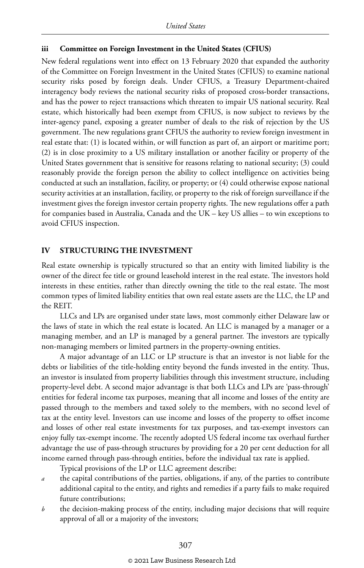#### **iii Committee on Foreign Investment in the United States (CFIUS)**

New federal regulations went into effect on 13 February 2020 that expanded the authority of the Committee on Foreign Investment in the United States (CFIUS) to examine national security risks posed by foreign deals. Under CFIUS, a Treasury Department-chaired interagency body reviews the national security risks of proposed cross-border transactions, and has the power to reject transactions which threaten to impair US national security. Real estate, which historically had been exempt from CFIUS, is now subject to reviews by the inter-agency panel, exposing a greater number of deals to the risk of rejection by the US government. The new regulations grant CFIUS the authority to review foreign investment in real estate that: (1) is located within, or will function as part of, an airport or maritime port; (2) is in close proximity to a US military installation or another facility or property of the United States government that is sensitive for reasons relating to national security; (3) could reasonably provide the foreign person the ability to collect intelligence on activities being conducted at such an installation, facility, or property; or (4) could otherwise expose national security activities at an installation, facility, or property to the risk of foreign surveillance if the investment gives the foreign investor certain property rights. The new regulations offer a path for companies based in Australia, Canada and the UK – key US allies – to win exceptions to avoid CFIUS inspection.

#### **IV STRUCTURING THE INVESTMENT**

Real estate ownership is typically structured so that an entity with limited liability is the owner of the direct fee title or ground leasehold interest in the real estate. The investors hold interests in these entities, rather than directly owning the title to the real estate. The most common types of limited liability entities that own real estate assets are the LLC, the LP and the REIT.

LLCs and LPs are organised under state laws, most commonly either Delaware law or the laws of state in which the real estate is located. An LLC is managed by a manager or a managing member, and an LP is managed by a general partner. The investors are typically non-managing members or limited partners in the property-owning entities.

A major advantage of an LLC or LP structure is that an investor is not liable for the debts or liabilities of the title-holding entity beyond the funds invested in the entity. Thus, an investor is insulated from property liabilities through this investment structure, including property-level debt. A second major advantage is that both LLCs and LPs are 'pass-through' entities for federal income tax purposes, meaning that all income and losses of the entity are passed through to the members and taxed solely to the members, with no second level of tax at the entity level. Investors can use income and losses of the property to offset income and losses of other real estate investments for tax purposes, and tax-exempt investors can enjoy fully tax-exempt income. The recently adopted US federal income tax overhaul further advantage the use of pass-through structures by providing for a 20 per cent deduction for all income earned through pass-through entities, before the individual tax rate is applied.

Typical provisions of the LP or LLC agreement describe:

- *a* the capital contributions of the parties, obligations, if any, of the parties to contribute additional capital to the entity, and rights and remedies if a party fails to make required future contributions;
- *b* the decision-making process of the entity, including major decisions that will require approval of all or a majority of the investors;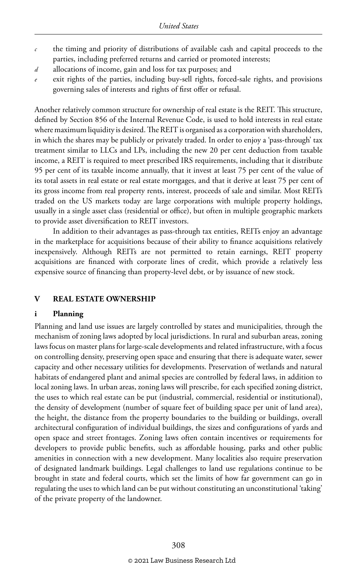- *c* the timing and priority of distributions of available cash and capital proceeds to the parties, including preferred returns and carried or promoted interests;
- *d* allocations of income, gain and loss for tax purposes; and
- exit rights of the parties, including buy-sell rights, forced-sale rights, and provisions governing sales of interests and rights of first offer or refusal.

Another relatively common structure for ownership of real estate is the REIT. This structure, defined by Section 856 of the Internal Revenue Code, is used to hold interests in real estate where maximum liquidity is desired. The REIT is organised as a corporation with shareholders, in which the shares may be publicly or privately traded. In order to enjoy a 'pass-through' tax treatment similar to LLCs and LPs, including the new 20 per cent deduction from taxable income, a REIT is required to meet prescribed IRS requirements, including that it distribute 95 per cent of its taxable income annually, that it invest at least 75 per cent of the value of its total assets in real estate or real estate mortgages, and that it derive at least 75 per cent of its gross income from real property rents, interest, proceeds of sale and similar. Most REITs traded on the US markets today are large corporations with multiple property holdings, usually in a single asset class (residential or office), but often in multiple geographic markets to provide asset diversification to REIT investors.

In addition to their advantages as pass-through tax entities, REITs enjoy an advantage in the marketplace for acquisitions because of their ability to finance acquisitions relatively inexpensively. Although REITs are not permitted to retain earnings, REIT property acquisitions are financed with corporate lines of credit, which provide a relatively less expensive source of financing than property-level debt, or by issuance of new stock.

#### **V REAL ESTATE OWNERSHIP**

#### **i Planning**

Planning and land use issues are largely controlled by states and municipalities, through the mechanism of zoning laws adopted by local jurisdictions. In rural and suburban areas, zoning laws focus on master plans for large-scale developments and related infrastructure, with a focus on controlling density, preserving open space and ensuring that there is adequate water, sewer capacity and other necessary utilities for developments. Preservation of wetlands and natural habitats of endangered plant and animal species are controlled by federal laws, in addition to local zoning laws. In urban areas, zoning laws will prescribe, for each specified zoning district, the uses to which real estate can be put (industrial, commercial, residential or institutional), the density of development (number of square feet of building space per unit of land area), the height, the distance from the property boundaries to the building or buildings, overall architectural configuration of individual buildings, the sizes and configurations of yards and open space and street frontages. Zoning laws often contain incentives or requirements for developers to provide public benefits, such as affordable housing, parks and other public amenities in connection with a new development. Many localities also require preservation of designated landmark buildings. Legal challenges to land use regulations continue to be brought in state and federal courts, which set the limits of how far government can go in regulating the uses to which land can be put without constituting an unconstitutional 'taking' of the private property of the landowner.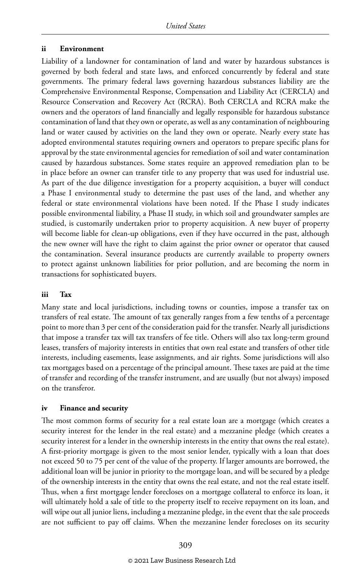#### **ii Environment**

Liability of a landowner for contamination of land and water by hazardous substances is governed by both federal and state laws, and enforced concurrently by federal and state governments. The primary federal laws governing hazardous substances liability are the Comprehensive Environmental Response, Compensation and Liability Act (CERCLA) and Resource Conservation and Recovery Act (RCRA). Both CERCLA and RCRA make the owners and the operators of land financially and legally responsible for hazardous substance contamination of land that they own or operate, as well as any contamination of neighbouring land or water caused by activities on the land they own or operate. Nearly every state has adopted environmental statutes requiring owners and operators to prepare specific plans for approval by the state environmental agencies for remediation of soil and water contamination caused by hazardous substances. Some states require an approved remediation plan to be in place before an owner can transfer title to any property that was used for industrial use. As part of the due diligence investigation for a property acquisition, a buyer will conduct a Phase I environmental study to determine the past uses of the land, and whether any federal or state environmental violations have been noted. If the Phase I study indicates possible environmental liability, a Phase II study, in which soil and groundwater samples are studied, is customarily undertaken prior to property acquisition. A new buyer of property will become liable for clean-up obligations, even if they have occurred in the past, although the new owner will have the right to claim against the prior owner or operator that caused the contamination. Several insurance products are currently available to property owners to protect against unknown liabilities for prior pollution, and are becoming the norm in transactions for sophisticated buyers.

#### **iii Tax**

Many state and local jurisdictions, including towns or counties, impose a transfer tax on transfers of real estate. The amount of tax generally ranges from a few tenths of a percentage point to more than 3 per cent of the consideration paid for the transfer. Nearly all jurisdictions that impose a transfer tax will tax transfers of fee title. Others will also tax long-term ground leases, transfers of majority interests in entities that own real estate and transfers of other title interests, including easements, lease assignments, and air rights. Some jurisdictions will also tax mortgages based on a percentage of the principal amount. These taxes are paid at the time of transfer and recording of the transfer instrument, and are usually (but not always) imposed on the transferor.

#### **iv Finance and security**

The most common forms of security for a real estate loan are a mortgage (which creates a security interest for the lender in the real estate) and a mezzanine pledge (which creates a security interest for a lender in the ownership interests in the entity that owns the real estate). A first-priority mortgage is given to the most senior lender, typically with a loan that does not exceed 50 to 75 per cent of the value of the property. If larger amounts are borrowed, the additional loan will be junior in priority to the mortgage loan, and will be secured by a pledge of the ownership interests in the entity that owns the real estate, and not the real estate itself. Thus, when a first mortgage lender forecloses on a mortgage collateral to enforce its loan, it will ultimately hold a sale of title to the property itself to receive repayment on its loan, and will wipe out all junior liens, including a mezzanine pledge, in the event that the sale proceeds are not sufficient to pay off claims. When the mezzanine lender forecloses on its security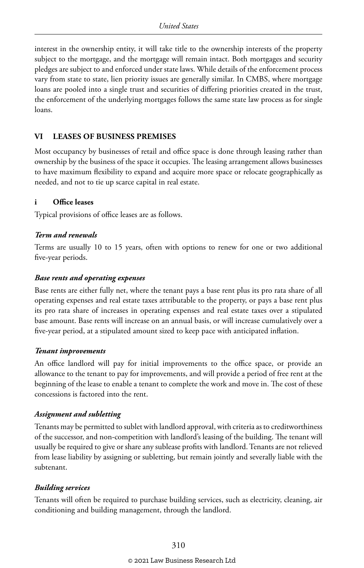interest in the ownership entity, it will take title to the ownership interests of the property subject to the mortgage, and the mortgage will remain intact. Both mortgages and security pledges are subject to and enforced under state laws. While details of the enforcement process vary from state to state, lien priority issues are generally similar. In CMBS, where mortgage loans are pooled into a single trust and securities of differing priorities created in the trust, the enforcement of the underlying mortgages follows the same state law process as for single loans.

#### **VI LEASES OF BUSINESS PREMISES**

Most occupancy by businesses of retail and office space is done through leasing rather than ownership by the business of the space it occupies. The leasing arrangement allows businesses to have maximum flexibility to expand and acquire more space or relocate geographically as needed, and not to tie up scarce capital in real estate.

#### **i Office leases**

Typical provisions of office leases are as follows.

#### *Term and renewals*

Terms are usually 10 to 15 years, often with options to renew for one or two additional five-year periods.

#### *Base rents and operating expenses*

Base rents are either fully net, where the tenant pays a base rent plus its pro rata share of all operating expenses and real estate taxes attributable to the property, or pays a base rent plus its pro rata share of increases in operating expenses and real estate taxes over a stipulated base amount. Base rents will increase on an annual basis, or will increase cumulatively over a five-year period, at a stipulated amount sized to keep pace with anticipated inflation.

#### *Tenant improvements*

An office landlord will pay for initial improvements to the office space, or provide an allowance to the tenant to pay for improvements, and will provide a period of free rent at the beginning of the lease to enable a tenant to complete the work and move in. The cost of these concessions is factored into the rent.

#### *Assignment and subletting*

Tenants may be permitted to sublet with landlord approval, with criteria as to creditworthiness of the successor, and non-competition with landlord's leasing of the building. The tenant will usually be required to give or share any sublease profits with landlord. Tenants are not relieved from lease liability by assigning or subletting, but remain jointly and severally liable with the subtenant.

#### *Building services*

Tenants will often be required to purchase building services, such as electricity, cleaning, air conditioning and building management, through the landlord.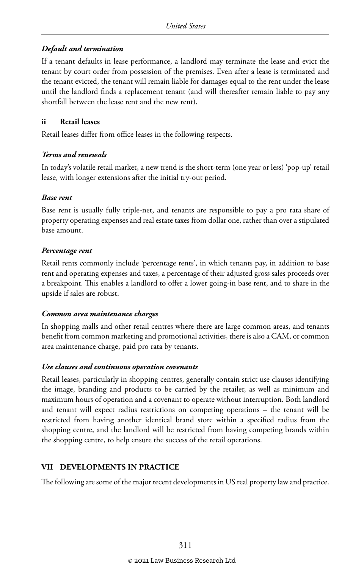#### *Default and termination*

If a tenant defaults in lease performance, a landlord may terminate the lease and evict the tenant by court order from possession of the premises. Even after a lease is terminated and the tenant evicted, the tenant will remain liable for damages equal to the rent under the lease until the landlord finds a replacement tenant (and will thereafter remain liable to pay any shortfall between the lease rent and the new rent).

#### **ii Retail leases**

Retail leases differ from office leases in the following respects.

#### *Terms and renewals*

In today's volatile retail market, a new trend is the short-term (one year or less) 'pop-up' retail lease, with longer extensions after the initial try-out period.

#### *Base rent*

Base rent is usually fully triple-net, and tenants are responsible to pay a pro rata share of property operating expenses and real estate taxes from dollar one, rather than over a stipulated base amount.

#### *Percentage rent*

Retail rents commonly include 'percentage rents', in which tenants pay, in addition to base rent and operating expenses and taxes, a percentage of their adjusted gross sales proceeds over a breakpoint. This enables a landlord to offer a lower going-in base rent, and to share in the upside if sales are robust.

#### *Common area maintenance charges*

In shopping malls and other retail centres where there are large common areas, and tenants benefit from common marketing and promotional activities, there is also a CAM, or common area maintenance charge, paid pro rata by tenants.

#### *Use clauses and continuous operation covenants*

Retail leases, particularly in shopping centres, generally contain strict use clauses identifying the image, branding and products to be carried by the retailer, as well as minimum and maximum hours of operation and a covenant to operate without interruption. Both landlord and tenant will expect radius restrictions on competing operations – the tenant will be restricted from having another identical brand store within a specified radius from the shopping centre, and the landlord will be restricted from having competing brands within the shopping centre, to help ensure the success of the retail operations.

#### **VII DEVELOPMENTS IN PRACTICE**

The following are some of the major recent developments in US real property law and practice.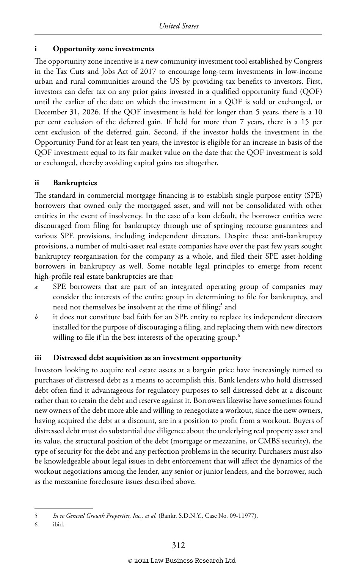#### **i Opportunity zone investments**

The opportunity zone incentive is a new community investment tool established by Congress in the Tax Cuts and Jobs Act of 2017 to encourage long-term investments in low-income urban and rural communities around the US by providing tax benefits to investors. First, investors can defer tax on any prior gains invested in a qualified opportunity fund (QOF) until the earlier of the date on which the investment in a QOF is sold or exchanged, or December 31, 2026. If the QOF investment is held for longer than 5 years, there is a 10 per cent exclusion of the deferred gain. If held for more than 7 years, there is a 15 per cent exclusion of the deferred gain. Second, if the investor holds the investment in the Opportunity Fund for at least ten years, the investor is eligible for an increase in basis of the QOF investment equal to its fair market value on the date that the QOF investment is sold or exchanged, thereby avoiding capital gains tax altogether.

#### **ii Bankruptcies**

The standard in commercial mortgage financing is to establish single-purpose entity (SPE) borrowers that owned only the mortgaged asset, and will not be consolidated with other entities in the event of insolvency. In the case of a loan default, the borrower entities were discouraged from filing for bankruptcy through use of springing recourse guarantees and various SPE provisions, including independent directors. Despite these anti-bankruptcy provisions, a number of multi-asset real estate companies have over the past few years sought bankruptcy reorganisation for the company as a whole, and filed their SPE asset-holding borrowers in bankruptcy as well. Some notable legal principles to emerge from recent high-profile real estate bankruptcies are that:

- *a* SPE borrowers that are part of an integrated operating group of companies may consider the interests of the entire group in determining to file for bankruptcy, and need not themselves be insolvent at the time of filing;<sup>5</sup> and
- *b* it does not constitute bad faith for an SPE entity to replace its independent directors installed for the purpose of discouraging a filing, and replacing them with new directors willing to file if in the best interests of the operating group.<sup>6</sup>

#### **iii Distressed debt acquisition as an investment opportunity**

Investors looking to acquire real estate assets at a bargain price have increasingly turned to purchases of distressed debt as a means to accomplish this. Bank lenders who hold distressed debt often find it advantageous for regulatory purposes to sell distressed debt at a discount rather than to retain the debt and reserve against it. Borrowers likewise have sometimes found new owners of the debt more able and willing to renegotiate a workout, since the new owners, having acquired the debt at a discount, are in a position to profit from a workout. Buyers of distressed debt must do substantial due diligence about the underlying real property asset and its value, the structural position of the debt (mortgage or mezzanine, or CMBS security), the type of security for the debt and any perfection problems in the security. Purchasers must also be knowledgeable about legal issues in debt enforcement that will affect the dynamics of the workout negotiations among the lender, any senior or junior lenders, and the borrower, such as the mezzanine foreclosure issues described above.

<sup>5</sup> *In re General Growth Properties, Inc., et al.* (Bankr. S.D.N.Y., Case No. 09-11977).

<sup>6</sup> ibid.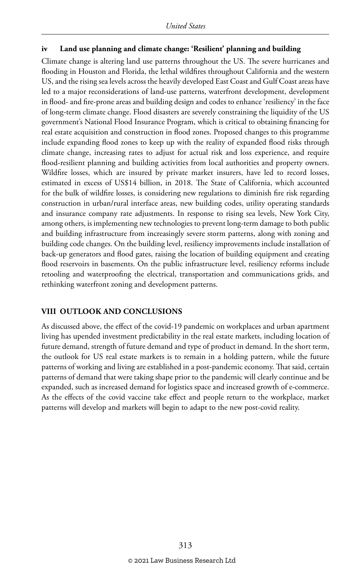#### **iv Land use planning and climate change: 'Resilient' planning and building**

Climate change is altering land use patterns throughout the US. The severe hurricanes and flooding in Houston and Florida, the lethal wildfires throughout California and the western US, and the rising sea levels across the heavily developed East Coast and Gulf Coast areas have led to a major reconsiderations of land-use patterns, waterfront development, development in flood- and fire-prone areas and building design and codes to enhance 'resiliency' in the face of long-term climate change. Flood disasters are severely constraining the liquidity of the US government's National Flood Insurance Program, which is critical to obtaining financing for real estate acquisition and construction in flood zones. Proposed changes to this programme include expanding flood zones to keep up with the reality of expanded flood risks through climate change, increasing rates to adjust for actual risk and loss experience, and require flood-resilient planning and building activities from local authorities and property owners. Wildfire losses, which are insured by private market insurers, have led to record losses, estimated in excess of US\$14 billion, in 2018. The State of California, which accounted for the bulk of wildfire losses, is considering new regulations to diminish fire risk regarding construction in urban/rural interface areas, new building codes, utility operating standards and insurance company rate adjustments. In response to rising sea levels, New York City, among others, is implementing new technologies to prevent long-term damage to both public and building infrastructure from increasingly severe storm patterns, along with zoning and building code changes. On the building level, resiliency improvements include installation of back-up generators and flood gates, raising the location of building equipment and creating flood reservoirs in basements. On the public infrastructure level, resiliency reforms include retooling and waterproofing the electrical, transportation and communications grids, and rethinking waterfront zoning and development patterns.

#### **VIII OUTLOOK AND CONCLUSIONS**

As discussed above, the effect of the covid-19 pandemic on workplaces and urban apartment living has upended investment predictability in the real estate markets, including location of future demand, strength of future demand and type of product in demand. In the short term, the outlook for US real estate markets is to remain in a holding pattern, while the future patterns of working and living are established in a post-pandemic economy. That said, certain patterns of demand that were taking shape prior to the pandemic will clearly continue and be expanded, such as increased demand for logistics space and increased growth of e-commerce. As the effects of the covid vaccine take effect and people return to the workplace, market patterns will develop and markets will begin to adapt to the new post-covid reality.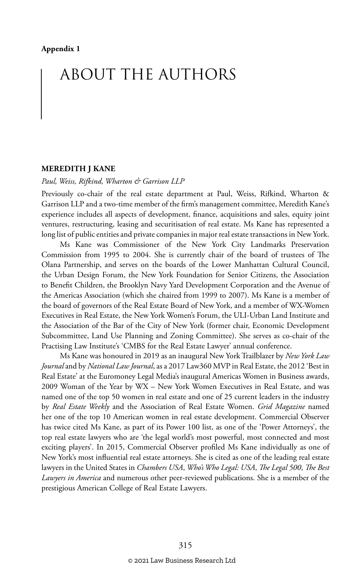## ABOUT THE AUTHORS

#### **MEREDITH J KANE**

#### *Paul, Weiss, Rifkind, Wharton & Garrison LLP*

Previously co-chair of the real estate department at Paul, Weiss, Rifkind, Wharton & Garrison LLP and a two-time member of the firm's management committee, Meredith Kane's experience includes all aspects of development, finance, acquisitions and sales, equity joint ventures, restructuring, leasing and securitisation of real estate. Ms Kane has represented a long list of public entities and private companies in major real estate transactions in New York.

Ms Kane was Commissioner of the New York City Landmarks Preservation Commission from 1995 to 2004. She is currently chair of the board of trustees of The Olana Partnership, and serves on the boards of the Lower Manhattan Cultural Council, the Urban Design Forum, the New York Foundation for Senior Citizens, the Association to Benefit Children, the Brooklyn Navy Yard Development Corporation and the Avenue of the Americas Association (which she chaired from 1999 to 2007). Ms Kane is a member of the board of governors of the Real Estate Board of New York, and a member of WX-Women Executives in Real Estate, the New York Women's Forum, the ULI-Urban Land Institute and the Association of the Bar of the City of New York (former chair, Economic Development Subcommittee, Land Use Planning and Zoning Committee). She serves as co-chair of the Practising Law Institute's 'CMBS for the Real Estate Lawyer' annual conference.

Ms Kane was honoured in 2019 as an inaugural New York Trailblazer by *New York Law Journal* and by *National Law Journal*, as a 2017 Law360 MVP in Real Estate, the 2012 'Best in Real Estate' at the Euromoney Legal Media's inaugural Americas Women in Business awards, 2009 Woman of the Year by WX – New York Women Executives in Real Estate, and was named one of the top 50 women in real estate and one of 25 current leaders in the industry by *Real Estate Weekly* and the Association of Real Estate Women. *Grid Magazine* named her one of the top 10 American women in real estate development. Commercial Observer has twice cited Ms Kane, as part of its Power 100 list, as one of the 'Power Attorneys', the top real estate lawyers who are 'the legal world's most powerful, most connected and most exciting players'. In 2015, Commercial Observer profiled Ms Kane individually as one of New York's most influential real estate attorneys. She is cited as one of the leading real estate lawyers in the United States in *Chambers USA*, *Who's Who Legal: USA*, *The Legal 500*, *The Best Lawyers in America* and numerous other peer-reviewed publications. She is a member of the prestigious American College of Real Estate Lawyers.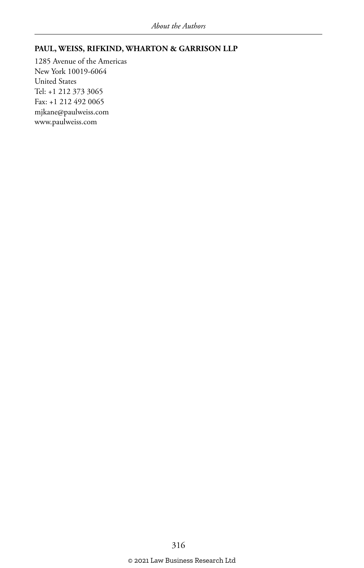#### **PAUL, WEISS, RIFKIND, WHARTON & GARRISON LLP**

1285 Avenue of the Americas New York 10019-6064 United States Tel: +1 212 373 3065 Fax: +1 212 492 0065 mjkane@paulweiss.com www.paulweiss.com